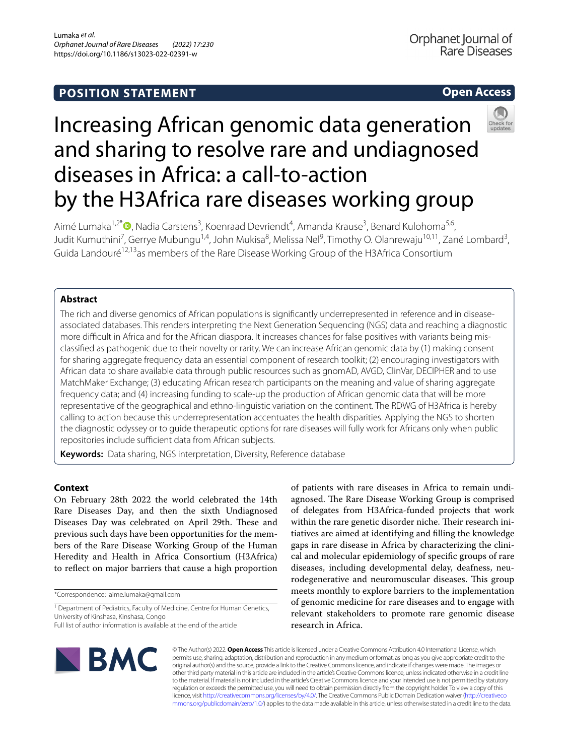## **POSITION STATEMENT**

## **Open Access**



# Increasing African genomic data generation and sharing to resolve rare and undiagnosed diseases in Africa: a call-to-action by the H3Africa rare diseases working group

Aimé Lumaka<sup>1,2[\\*](http://orcid.org/0000-0002-5468-8678)</sup>®, Nadia Carstens<sup>3</sup>, Koenraad Devriendt<sup>4</sup>, Amanda Krause<sup>3</sup>, Benard Kulohoma<sup>5,6</sup>, Judit Kumuthini<sup>7</sup>, Gerrye Mubungu<sup>1,4</sup>, John Mukisa<sup>8</sup>, Melissa Nel<sup>9</sup>, Timothy O. Olanrewaju<sup>10,11</sup>, Zané Lombard<sup>3</sup>, Guida Landouré<sup>12,13</sup>as members of the Rare Disease Working Group of the H3Africa Consortium

## **Abstract**

The rich and diverse genomics of African populations is signifcantly underrepresented in reference and in diseaseassociated databases. This renders interpreting the Next Generation Sequencing (NGS) data and reaching a diagnostic more difficult in Africa and for the African diaspora. It increases chances for false positives with variants being misclassifed as pathogenic due to their novelty or rarity. We can increase African genomic data by (1) making consent for sharing aggregate frequency data an essential component of research toolkit; (2) encouraging investigators with African data to share available data through public resources such as gnomAD, AVGD, ClinVar, DECIPHER and to use MatchMaker Exchange; (3) educating African research participants on the meaning and value of sharing aggregate frequency data; and (4) increasing funding to scale-up the production of African genomic data that will be more representative of the geographical and ethno-linguistic variation on the continent. The RDWG of H3Africa is hereby calling to action because this underrepresentation accentuates the health disparities. Applying the NGS to shorten the diagnostic odyssey or to guide therapeutic options for rare diseases will fully work for Africans only when public repositories include sufficient data from African subjects.

**Keywords:** Data sharing, NGS interpretation, Diversity, Reference database

## **Context**

On February 28th 2022 the world celebrated the 14th Rare Diseases Day, and then the sixth Undiagnosed Diseases Day was celebrated on April 29th. These and previous such days have been opportunities for the members of the Rare Disease Working Group of the Human Heredity and Health in Africa Consortium (H3Africa) to refect on major barriers that cause a high proportion

\*Correspondence: aime.lumaka@gmail.com

<sup>1</sup> Department of Pediatrics, Faculty of Medicine, Centre for Human Genetics, University of Kinshasa, Kinshasa, Congo

of patients with rare diseases in Africa to remain undiagnosed. The Rare Disease Working Group is comprised of delegates from H3Africa-funded projects that work within the rare genetic disorder niche. Their research initiatives are aimed at identifying and flling the knowledge gaps in rare disease in Africa by characterizing the clinical and molecular epidemiology of specifc groups of rare diseases, including developmental delay, deafness, neurodegenerative and neuromuscular diseases. This group meets monthly to explore barriers to the implementation of genomic medicine for rare diseases and to engage with relevant stakeholders to promote rare genomic disease research in Africa.



© The Author(s) 2022. **Open Access** This article is licensed under a Creative Commons Attribution 4.0 International License, which permits use, sharing, adaptation, distribution and reproduction in any medium or format, as long as you give appropriate credit to the original author(s) and the source, provide a link to the Creative Commons licence, and indicate if changes were made. The images or other third party material in this article are included in the article's Creative Commons licence, unless indicated otherwise in a credit line to the material. If material is not included in the article's Creative Commons licence and your intended use is not permitted by statutory regulation or exceeds the permitted use, you will need to obtain permission directly from the copyright holder. To view a copy of this licence, visit [http://creativecommons.org/licenses/by/4.0/.](http://creativecommons.org/licenses/by/4.0/) The Creative Commons Public Domain Dedication waiver ([http://creativeco](http://creativecommons.org/publicdomain/zero/1.0/) [mmons.org/publicdomain/zero/1.0/](http://creativecommons.org/publicdomain/zero/1.0/)) applies to the data made available in this article, unless otherwise stated in a credit line to the data.

Full list of author information is available at the end of the article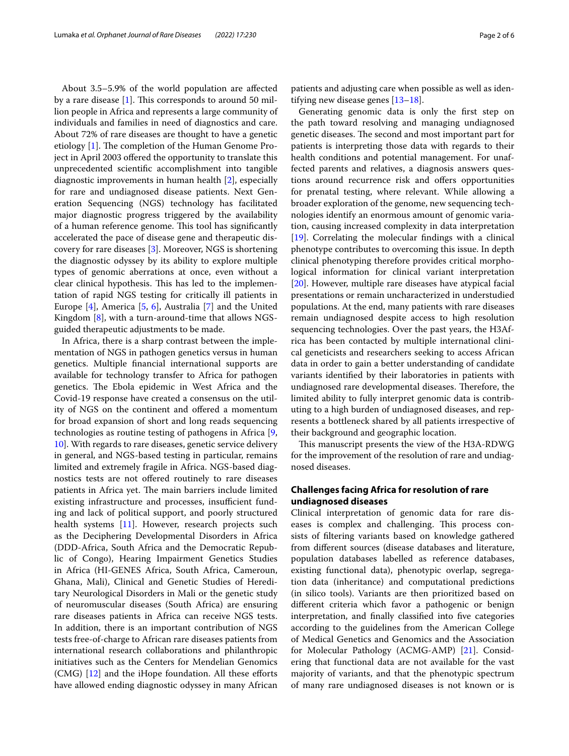About 3.5–5.9% of the world population are afected by a rare disease  $[1]$  $[1]$ . This corresponds to around 50 million people in Africa and represents a large community of individuals and families in need of diagnostics and care. About 72% of rare diseases are thought to have a genetic etiology [\[1](#page-4-0)]. The completion of the Human Genome Project in April 2003 ofered the opportunity to translate this unprecedented scientifc accomplishment into tangible diagnostic improvements in human health [[2\]](#page-4-1), especially for rare and undiagnosed disease patients. Next Generation Sequencing (NGS) technology has facilitated major diagnostic progress triggered by the availability of a human reference genome. This tool has significantly accelerated the pace of disease gene and therapeutic discovery for rare diseases [[3\]](#page-4-2). Moreover, NGS is shortening the diagnostic odyssey by its ability to explore multiple types of genomic aberrations at once, even without a clear clinical hypothesis. This has led to the implementation of rapid NGS testing for critically ill patients in Europe [[4\]](#page-4-3), America [[5,](#page-4-4) [6](#page-4-5)], Australia [[7\]](#page-4-6) and the United Kingdom [[8\]](#page-4-7), with a turn-around-time that allows NGSguided therapeutic adjustments to be made.

In Africa, there is a sharp contrast between the implementation of NGS in pathogen genetics versus in human genetics. Multiple fnancial international supports are available for technology transfer to Africa for pathogen genetics. The Ebola epidemic in West Africa and the Covid-19 response have created a consensus on the utility of NGS on the continent and ofered a momentum for broad expansion of short and long reads sequencing technologies as routine testing of pathogens in Africa [\[9](#page-4-8), [10\]](#page-4-9). With regards to rare diseases, genetic service delivery in general, and NGS-based testing in particular, remains limited and extremely fragile in Africa. NGS-based diagnostics tests are not ofered routinely to rare diseases patients in Africa yet. The main barriers include limited existing infrastructure and processes, insufficient funding and lack of political support, and poorly structured health systems [\[11](#page-4-10)]. However, research projects such as the Deciphering Developmental Disorders in Africa (DDD-Africa, South Africa and the Democratic Republic of Congo), Hearing Impairment Genetics Studies in Africa (HI-GENES Africa, South Africa, Cameroun, Ghana, Mali), Clinical and Genetic Studies of Hereditary Neurological Disorders in Mali or the genetic study of neuromuscular diseases (South Africa) are ensuring rare diseases patients in Africa can receive NGS tests. In addition, there is an important contribution of NGS tests free-of-charge to African rare diseases patients from international research collaborations and philanthropic initiatives such as the Centers for Mendelian Genomics (CMG) [[12\]](#page-4-11) and the iHope foundation. All these efforts have allowed ending diagnostic odyssey in many African

patients and adjusting care when possible as well as identifying new disease genes [[13–](#page-4-12)[18\]](#page-4-13).

Generating genomic data is only the frst step on the path toward resolving and managing undiagnosed genetic diseases. The second and most important part for patients is interpreting those data with regards to their health conditions and potential management. For unaffected parents and relatives, a diagnosis answers questions around recurrence risk and offers opportunities for prenatal testing, where relevant. While allowing a broader exploration of the genome, new sequencing technologies identify an enormous amount of genomic variation, causing increased complexity in data interpretation [[19\]](#page-4-14). Correlating the molecular fndings with a clinical phenotype contributes to overcoming this issue. In depth clinical phenotyping therefore provides critical morphological information for clinical variant interpretation [[20\]](#page-4-15). However, multiple rare diseases have atypical facial presentations or remain uncharacterized in understudied populations. At the end, many patients with rare diseases remain undiagnosed despite access to high resolution sequencing technologies. Over the past years, the H3Africa has been contacted by multiple international clinical geneticists and researchers seeking to access African data in order to gain a better understanding of candidate variants identifed by their laboratories in patients with undiagnosed rare developmental diseases. Therefore, the limited ability to fully interpret genomic data is contributing to a high burden of undiagnosed diseases, and represents a bottleneck shared by all patients irrespective of their background and geographic location.

This manuscript presents the view of the H3A-RDWG for the improvement of the resolution of rare and undiagnosed diseases.

### **Challenges facing Africa for resolution of rare undiagnosed diseases**

Clinical interpretation of genomic data for rare diseases is complex and challenging. This process consists of fltering variants based on knowledge gathered from diferent sources (disease databases and literature, population databases labelled as reference databases, existing functional data), phenotypic overlap, segregation data (inheritance) and computational predictions (in silico tools). Variants are then prioritized based on diferent criteria which favor a pathogenic or benign interpretation, and fnally classifed into fve categories according to the guidelines from the American College of Medical Genetics and Genomics and the Association for Molecular Pathology (ACMG-AMP) [\[21](#page-4-16)]. Considering that functional data are not available for the vast majority of variants, and that the phenotypic spectrum of many rare undiagnosed diseases is not known or is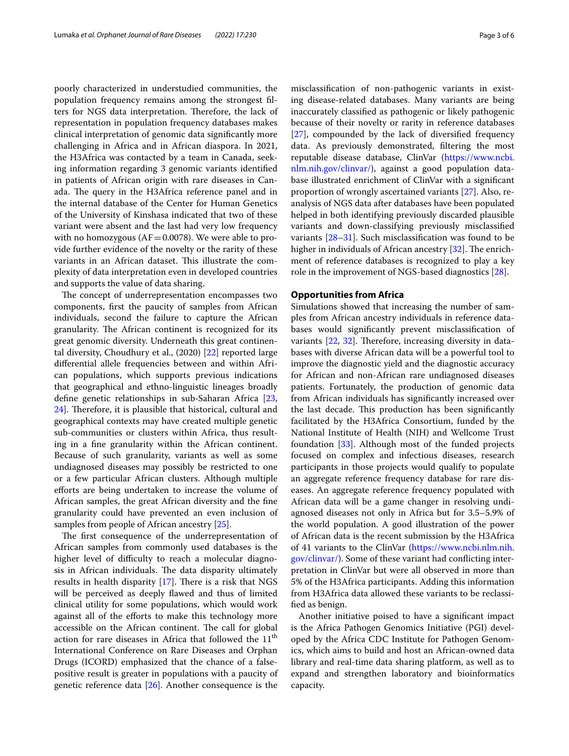poorly characterized in understudied communities, the population frequency remains among the strongest flters for NGS data interpretation. Therefore, the lack of representation in population frequency databases makes clinical interpretation of genomic data signifcantly more challenging in Africa and in African diaspora. In 2021, the H3Africa was contacted by a team in Canada, seeking information regarding 3 genomic variants identifed in patients of African origin with rare diseases in Canada. The query in the H3Africa reference panel and in the internal database of the Center for Human Genetics of the University of Kinshasa indicated that two of these variant were absent and the last had very low frequency with no homozygous ( $AF = 0.0078$ ). We were able to provide further evidence of the novelty or the rarity of these variants in an African dataset. This illustrate the complexity of data interpretation even in developed countries and supports the value of data sharing.

The concept of underrepresentation encompasses two components, frst the paucity of samples from African individuals, second the failure to capture the African granularity. The African continent is recognized for its great genomic diversity. Underneath this great continental diversity, Choudhury et al., (2020) [\[22](#page-4-17)] reported large diferential allele frequencies between and within African populations, which supports previous indications that geographical and ethno-linguistic lineages broadly defne genetic relationships in sub-Saharan Africa [\[23](#page-4-18),  $24$ ]. Therefore, it is plausible that historical, cultural and geographical contexts may have created multiple genetic sub-communities or clusters within Africa, thus resulting in a fne granularity within the African continent. Because of such granularity, variants as well as some undiagnosed diseases may possibly be restricted to one or a few particular African clusters. Although multiple efforts are being undertaken to increase the volume of African samples, the great African diversity and the fne granularity could have prevented an even inclusion of samples from people of African ancestry [\[25\]](#page-4-20).

The first consequence of the underrepresentation of African samples from commonly used databases is the higher level of difficulty to reach a molecular diagnosis in African individuals. The data disparity ultimately results in health disparity  $[17]$  $[17]$  $[17]$ . There is a risk that NGS will be perceived as deeply fawed and thus of limited clinical utility for some populations, which would work against all of the eforts to make this technology more accessible on the African continent. The call for global action for rare diseases in Africa that followed the 11<sup>th</sup> International Conference on Rare Diseases and Orphan Drugs (ICORD) emphasized that the chance of a falsepositive result is greater in populations with a paucity of genetic reference data [\[26\]](#page-4-22). Another consequence is the misclassifcation of non-pathogenic variants in existing disease-related databases. Many variants are being inaccurately classifed as pathogenic or likely pathogenic because of their novelty or rarity in reference databases [[27\]](#page-4-23), compounded by the lack of diversifed frequency data. As previously demonstrated, fltering the most reputable disease database, ClinVar [\(https://www.ncbi.](https://www.ncbi.nlm.nih.gov/clinvar/) [nlm.nih.gov/clinvar/](https://www.ncbi.nlm.nih.gov/clinvar/)), against a good population database illustrated enrichment of ClinVar with a signifcant proportion of wrongly ascertained variants [[27\]](#page-4-23). Also, reanalysis of NGS data after databases have been populated helped in both identifying previously discarded plausible variants and down-classifying previously misclassifed variants [[28–](#page-4-24)[31](#page-5-0)]. Such misclassifcation was found to be higher in individuals of African ancestry  $[32]$  $[32]$ . The enrichment of reference databases is recognized to play a key role in the improvement of NGS-based diagnostics [[28](#page-4-24)].

#### **Opportunities from Africa**

Simulations showed that increasing the number of samples from African ancestry individuals in reference databases would signifcantly prevent misclassifcation of variants  $[22, 32]$  $[22, 32]$  $[22, 32]$  $[22, 32]$ . Therefore, increasing diversity in databases with diverse African data will be a powerful tool to improve the diagnostic yield and the diagnostic accuracy for African and non-African rare undiagnosed diseases patients. Fortunately, the production of genomic data from African individuals has signifcantly increased over the last decade. This production has been significantly facilitated by the H3Africa Consortium, funded by the National Institute of Health (NIH) and Wellcome Trust foundation [[33\]](#page-5-2). Although most of the funded projects focused on complex and infectious diseases, research participants in those projects would qualify to populate an aggregate reference frequency database for rare diseases. An aggregate reference frequency populated with African data will be a game changer in resolving undiagnosed diseases not only in Africa but for 3.5–5.9% of the world population. A good illustration of the power of African data is the recent submission by the H3Africa of 41 variants to the ClinVar [\(https://www.ncbi.nlm.nih.](https://www.ncbi.nlm.nih.gov/clinvar/) [gov/clinvar/](https://www.ncbi.nlm.nih.gov/clinvar/)). Some of these variant had conficting interpretation in ClinVar but were all observed in more than 5% of the H3Africa participants. Adding this information from H3Africa data allowed these variants to be reclassifed as benign.

Another initiative poised to have a signifcant impact is the Africa Pathogen Genomics Initiative (PGI) developed by the Africa CDC Institute for Pathogen Genomics, which aims to build and host an African-owned data library and real-time data sharing platform, as well as to expand and strengthen laboratory and bioinformatics capacity.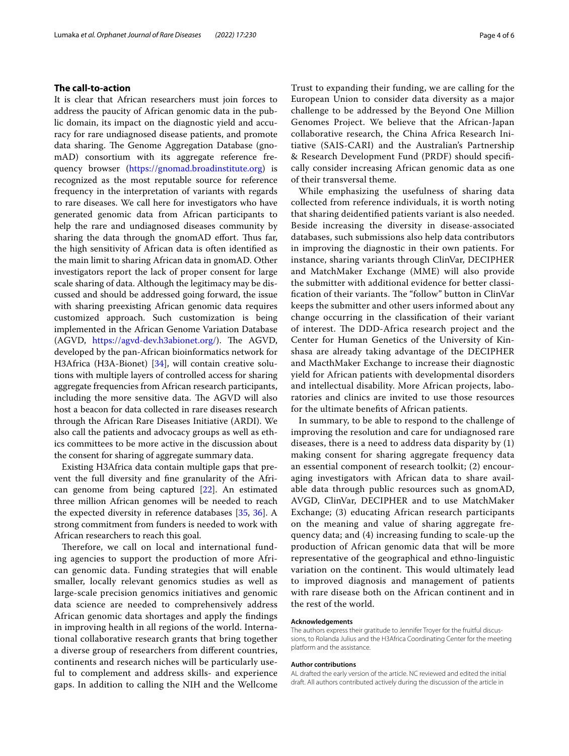#### **The call‑to‑action**

It is clear that African researchers must join forces to address the paucity of African genomic data in the public domain, its impact on the diagnostic yield and accuracy for rare undiagnosed disease patients, and promote data sharing. The Genome Aggregation Database (gnomAD) consortium with its aggregate reference frequency browser [\(https://gnomad.broadinstitute.org\)](https://gnomad.broadinstitute.org) is recognized as the most reputable source for reference frequency in the interpretation of variants with regards to rare diseases. We call here for investigators who have generated genomic data from African participants to help the rare and undiagnosed diseases community by sharing the data through the gnomAD effort. Thus far, the high sensitivity of African data is often identifed as the main limit to sharing African data in gnomAD. Other investigators report the lack of proper consent for large scale sharing of data. Although the legitimacy may be discussed and should be addressed going forward, the issue with sharing preexisting African genomic data requires customized approach. Such customization is being implemented in the African Genome Variation Database (AGVD, <https://agvd-dev.h3abionet.org/>). The AGVD, developed by the pan-African bioinformatics network for H3Africa (H3A-Bionet) [[34\]](#page-5-3), will contain creative solutions with multiple layers of controlled access for sharing aggregate frequencies from African research participants, including the more sensitive data. The AGVD will also host a beacon for data collected in rare diseases research through the African Rare Diseases Initiative (ARDI). We also call the patients and advocacy groups as well as ethics committees to be more active in the discussion about the consent for sharing of aggregate summary data.

Existing H3Africa data contain multiple gaps that prevent the full diversity and fne granularity of the African genome from being captured [\[22](#page-4-17)]. An estimated three million African genomes will be needed to reach the expected diversity in reference databases [[35](#page-5-4), [36\]](#page-5-5). A strong commitment from funders is needed to work with African researchers to reach this goal.

Therefore, we call on local and international funding agencies to support the production of more African genomic data. Funding strategies that will enable smaller, locally relevant genomics studies as well as large-scale precision genomics initiatives and genomic data science are needed to comprehensively address African genomic data shortages and apply the fndings in improving health in all regions of the world. International collaborative research grants that bring together a diverse group of researchers from diferent countries, continents and research niches will be particularly useful to complement and address skills- and experience gaps. In addition to calling the NIH and the Wellcome Trust to expanding their funding, we are calling for the European Union to consider data diversity as a major challenge to be addressed by the Beyond One Million Genomes Project. We believe that the African-Japan collaborative research, the China Africa Research Initiative (SAIS-CARI) and the Australian's Partnership & Research Development Fund (PRDF) should specifcally consider increasing African genomic data as one of their transversal theme.

While emphasizing the usefulness of sharing data collected from reference individuals, it is worth noting that sharing deidentifed patients variant is also needed. Beside increasing the diversity in disease-associated databases, such submissions also help data contributors in improving the diagnostic in their own patients. For instance, sharing variants through ClinVar, DECIPHER and MatchMaker Exchange (MME) will also provide the submitter with additional evidence for better classification of their variants. The "follow" button in ClinVar keeps the submitter and other users informed about any change occurring in the classifcation of their variant of interest. The DDD-Africa research project and the Center for Human Genetics of the University of Kinshasa are already taking advantage of the DECIPHER and MacthMaker Exchange to increase their diagnostic yield for African patients with developmental disorders and intellectual disability. More African projects, laboratories and clinics are invited to use those resources for the ultimate benefts of African patients.

In summary, to be able to respond to the challenge of improving the resolution and care for undiagnosed rare diseases, there is a need to address data disparity by (1) making consent for sharing aggregate frequency data an essential component of research toolkit; (2) encouraging investigators with African data to share available data through public resources such as gnomAD, AVGD, ClinVar, DECIPHER and to use MatchMaker Exchange; (3) educating African research participants on the meaning and value of sharing aggregate frequency data; and (4) increasing funding to scale-up the production of African genomic data that will be more representative of the geographical and ethno-linguistic variation on the continent. This would ultimately lead to improved diagnosis and management of patients with rare disease both on the African continent and in the rest of the world.

#### **Acknowledgements**

The authors express their gratitude to Jennifer Troyer for the fruitful discussions, to Rolanda Julius and the H3Africa Coordinating Center for the meeting platform and the assistance.

#### **Author contributions**

AL drafted the early version of the article. NC reviewed and edited the initial draft. All authors contributed actively during the discussion of the article in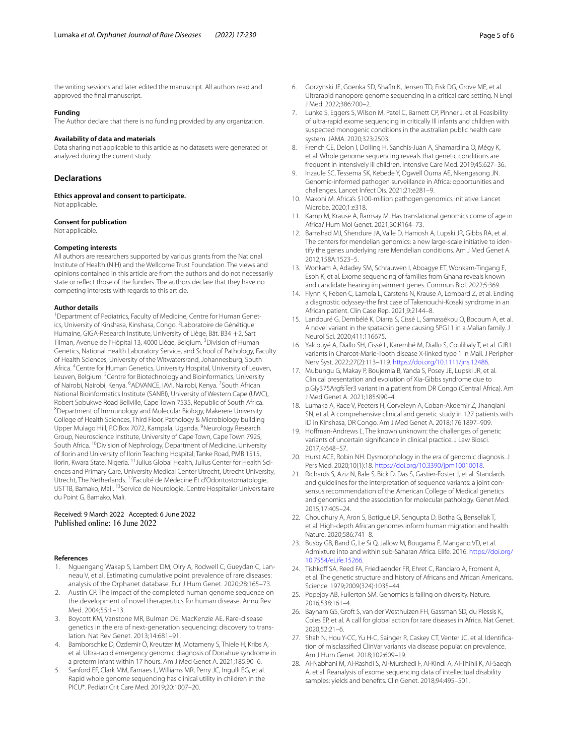the writing sessions and later edited the manuscript. All authors read and approved the fnal manuscript.

#### **Funding**

The Author declare that there is no funding provided by any organization.

#### **Availability of data and materials**

Data sharing not applicable to this article as no datasets were generated or analyzed during the current study.

#### **Declarations**

**Ethics approval and consent to participate.** Not applicable.

## **Consent for publication**

Not applicable.

#### **Competing interests**

All authors are researchers supported by various grants from the National Institute of Health (NIH) and the Wellcome Trust Foundation. The views and opinions contained in this article are from the authors and do not necessarily state or refect those of the funders. The authors declare that they have no competing interests with regards to this article.

#### **Author details**

<sup>1</sup> Department of Pediatrics, Faculty of Medicine, Centre for Human Genetics, University of Kinshasa, Kinshasa, Congo. <sup>2</sup> Laboratoire de Génétique Humaine, GIGA-Research Institute, University of Liège, Bât. B34 +2, Sart Tilman, Avenue de l'Hôpital 13, 4000 Liège, Belgium. <sup>3</sup> Division of Human Genetics, National Health Laboratory Service, and School of Pathology, Faculty of Health Sciences, University of the Witwatersrand, Johannesburg, South Africa. <sup>4</sup> Centre for Human Genetics, University Hospital, University of Leuven, Leuven, Belgium. <sup>5</sup> Centre for Biotechnology and Bioinformatics, University of Nairobi, Nairobi, Kenya. <sup>6</sup>ADVANCE, IAVI, Nairobi, Kenya. <sup>7</sup>South African National Bioinformatics Institute (SANBI), University of Western Cape (UWC), Robert Sobukwe Road Bellville, Cape Town 7535, Republic of South Africa. 8 Department of Immunology and Molecular Biology, Makerere University College of Health Sciences, Third Floor, Pathology & Microbiology building Upper Mulago Hill, P.O.Box 7072, Kampala, Uganda. <sup>9</sup>Neurology Research Group, Neuroscience Institute, University of Cape Town, Cape Town 7925, South Africa. <sup>10</sup>Division of Nephrology, Department of Medicine, University of Ilorin and University of Ilorin Teaching Hospital, Tanke Road, PMB 1515, Ilorin, Kwara State, Nigeria. 11Julius Global Health, Julius Center for Health Sciences and Primary Care, University Medical Center Utrecht, Utrecht University, Utrecht, The Netherlands. <sup>12</sup>Faculté de Médecine Et d'Odontostomatologie, USTTB, Bamako, Mali. 13Service de Neurologie, Centre Hospitalier Universitaire du Point G, Bamako, Mali.

## Received: 9 March 2022 Accepted: 6 June 2022<br>Published online: 16 June 2022

#### **References**

- <span id="page-4-0"></span>1. Nguengang Wakap S, Lambert DM, Olry A, Rodwell C, Gueydan C, Lanneau V, et al. Estimating cumulative point prevalence of rare diseases: analysis of the Orphanet database. Eur J Hum Genet. 2020;28:165–73.
- <span id="page-4-1"></span>2. Austin CP. The impact of the completed human genome sequence on the development of novel therapeutics for human disease. Annu Rev Med. 2004;55:1–13.
- <span id="page-4-2"></span>3. Boycott KM, Vanstone MR, Bulman DE, MacKenzie AE. Rare-disease genetics in the era of next-generation sequencing: discovery to translation. Nat Rev Genet. 2013;14:681–91.
- <span id="page-4-3"></span>4. Bamborschke D, Özdemir Ö, Kreutzer M, Motameny S, Thiele H, Kribs A, et al. Ultra-rapid emergency genomic diagnosis of Donahue syndrome in a preterm infant within 17 hours. Am J Med Genet A. 2021;185:90–6.
- <span id="page-4-4"></span>5. Sanford EF, Clark MM, Farnaes L, Williams MR, Perry JC, Ingulli EG, et al. Rapid whole genome sequencing has clinical utility in children in the PICU\*. Pediatr Crit Care Med. 2019;20:1007–20.
- <span id="page-4-5"></span>6. Gorzynski JE, Goenka SD, Shafn K, Jensen TD, Fisk DG, Grove ME, et al. Ultrarapid nanopore genome sequencing in a critical care setting. N Engl J Med. 2022;386:700–2.
- <span id="page-4-6"></span>7. Lunke S, Eggers S, Wilson M, Patel C, Barnett CP, Pinner J, et al. Feasibility of ultra-rapid exome sequencing in critically Ill infants and children with suspected monogenic conditions in the australian public health care system. JAMA. 2020;323:2503.
- <span id="page-4-7"></span>8. French CE, Delon I, Dolling H, Sanchis-Juan A, Shamardina O, Mégy K, et al. Whole genome sequencing reveals that genetic conditions are frequent in intensively ill children. Intensive Care Med. 2019;45:627–36.
- <span id="page-4-8"></span>9. Inzaule SC, Tessema SK, Kebede Y, Ogwell Ouma AE, Nkengasong JN. Genomic-informed pathogen surveillance in Africa: opportunities and challenges. Lancet Infect Dis. 2021;21:e281–9.
- <span id="page-4-9"></span>10. Makoni M. Africa's \$100-million pathogen genomics initiative. Lancet Microbe. 2020;1:e318.
- <span id="page-4-10"></span>11. Kamp M, Krause A, Ramsay M. Has translational genomics come of age in Africa? Hum Mol Genet. 2021;30:R164–73.
- <span id="page-4-11"></span>12. Bamshad MJ, Shendure JA, Valle D, Hamosh A, Lupski JR, Gibbs RA, et al. The centers for mendelian genomics: a new large-scale initiative to identify the genes underlying rare Mendelian conditions. Am J Med Genet A. 2012;158A:1523–5.
- <span id="page-4-12"></span>13. Wonkam A, Adadey SM, Schrauwen I, Aboagye ET, Wonkam-Tingang E, Esoh K, et al. Exome sequencing of families from Ghana reveals known and candidate hearing impairment genes. Commun Biol. 2022;5:369.
- 14. Flynn K, Feben C, Lamola L, Carstens N, Krause A, Lombard Z, et al. Ending a diagnostic odyssey-the frst case of Takenouchi-Kosaki syndrome in an African patient. Clin Case Rep. 2021;9:2144–8.
- 15. Landouré G, Dembélé K, Diarra S, Cissé L, Samassékou O, Bocoum A, et al. A novel variant in the spatacsin gene causing SPG11 in a Malian family. J Neurol Sci. 2020;411:116675.
- 16. Yalcouyé A, Diallo SH, Cissé L, Karembé M, Diallo S, Coulibaly T, et al. GJB1 variants in Charcot-Marie-Tooth disease X-linked type 1 in Mali. J Peripher Nerv Syst. 2022;27(2):113–119.<https://doi.org/10.1111/jns.12486>.
- <span id="page-4-21"></span>17. Mubungu G, Makay P, Boujemla B, Yanda S, Posey JE, Lupski JR, et al. Clinical presentation and evolution of Xia-Gibbs syndrome due to p.Gly375ArgfsTer3 variant in a patient from DR Congo (Central Africa). Am J Med Genet A. 2021;185:990–4.
- <span id="page-4-13"></span>18. Lumaka A, Race V, Peeters H, Corveleyn A, Coban-Akdemir Z, Jhangiani SN, et al. A comprehensive clinical and genetic study in 127 patients with ID in Kinshasa, DR Congo. Am J Med Genet A. 2018;176:1897–909.
- <span id="page-4-14"></span>19. Hofman-Andrews L. The known unknown: the challenges of genetic variants of uncertain signifcance in clinical practice. J Law Biosci. 2017;4:648–57.
- <span id="page-4-15"></span>20. Hurst ACE, Robin NH. Dysmorphology in the era of genomic diagnosis. J Pers Med. 2020;10(1):18. [https://doi.org/10.3390/jpm10010018.](https://doi.org/10.3390/jpm10010018)
- <span id="page-4-16"></span>21. Richards S, Aziz N, Bale S, Bick D, Das S, Gastier-Foster J, et al. Standards and guidelines for the interpretation of sequence variants: a joint consensus recommendation of the American College of Medical genetics and genomics and the association for molecular pathology. Genet Med. 2015;17:405–24.
- <span id="page-4-17"></span>22. Choudhury A, Aron S, Botigué LR, Sengupta D, Botha G, Bensellak T, et al. High-depth African genomes inform human migration and health. Nature. 2020;586:741–8.
- <span id="page-4-18"></span>23. Busby GB, Band G, Le Si Q, Jallow M, Bougama E, Mangano VD, et al. Admixture into and within sub-Saharan Africa. Elife. 2016. [https://doi.org/](https://doi.org/10.7554/eLife.15266) [10.7554/eLife.15266](https://doi.org/10.7554/eLife.15266).
- <span id="page-4-19"></span>24. Tishkoff SA, Reed FA, Friedlaender FR, Ehret C, Ranciaro A, Froment A, et al. The genetic structure and history of Africans and African Americans. Science. 1979;2009(324):1035–44.
- <span id="page-4-20"></span>25. Popejoy AB, Fullerton SM. Genomics is failing on diversity. Nature. 2016;538:161–4.
- <span id="page-4-22"></span>26. Baynam GS, Groft S, van der Westhuizen FH, Gassman SD, du Plessis K, Coles EP, et al. A call for global action for rare diseases in Africa. Nat Genet. 2020;52:21–6.
- <span id="page-4-23"></span>27. Shah N, Hou Y-CC, Yu H-C, Sainger R, Caskey CT, Venter JC, et al. Identifcation of misclassifed ClinVar variants via disease population prevalence. Am J Hum Genet. 2018;102:609–19.
- <span id="page-4-24"></span>28. Al-Nabhani M, Al-Rashdi S, Al-Murshedi F, Al-Kindi A, Al-Thihli K, Al-Saegh A, et al. Reanalysis of exome sequencing data of intellectual disability samples: yields and benefts. Clin Genet. 2018;94:495–501.